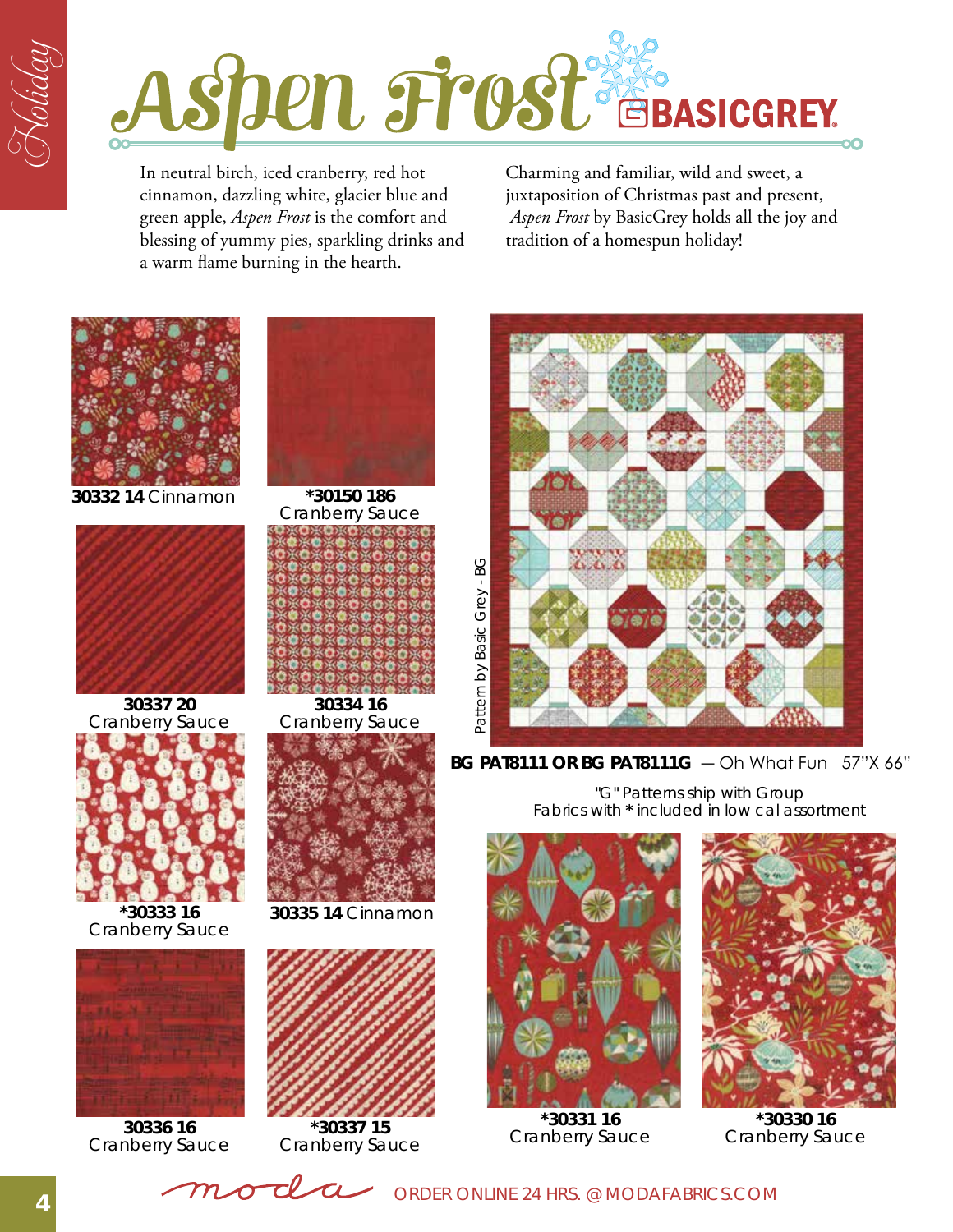

In neutral birch, iced cranberry, red hot cinnamon, dazzling white, glacier blue and green apple, *Aspen Frost* is the comfort and blessing of yummy pies, sparkling drinks and a warm flame burning in the hearth.

Charming and familiar, wild and sweet, a juxtaposition of Christmas past and present, *Aspen Frost* by BasicGrey holds all the joy and tradition of a homespun holiday!



**30332 14** Cinnamon **\*30150 186**



**30337 20** Cranberry Sauce



**\*30333 16** Cranberry Sauce



**30336 16** Cranberry Sauce



Cranberry Sauce

**30334 16** Cranberry Sauce



**30335 14** Cinnamon



**\*30337 15** Cranberry Sauce



Fabrics with **\*** included in low cal assortment "G" Patterns ship with Group



**\*30331 16** Cranberry Sauce



**\*30330 16** Cranberry Sauce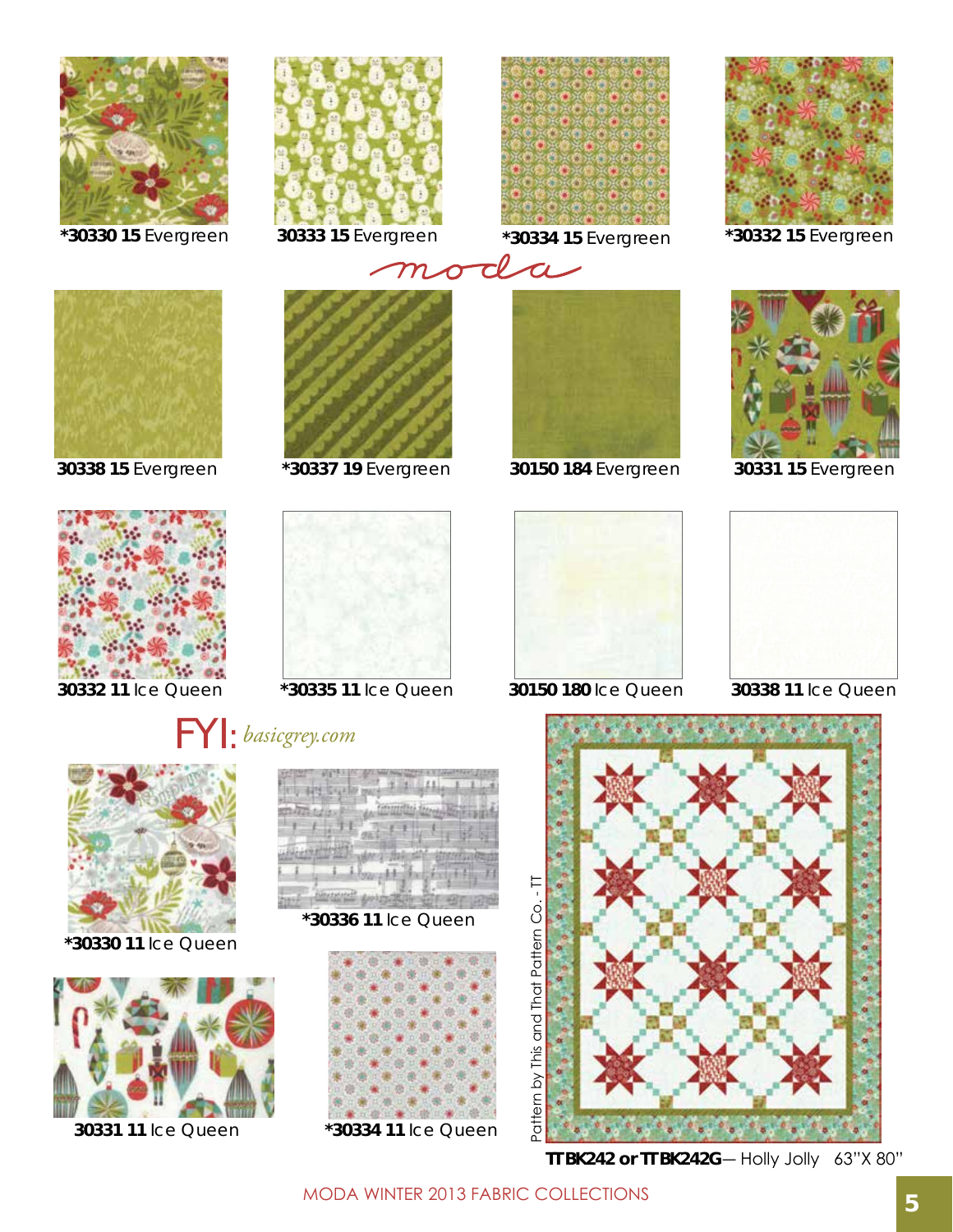

**\*30330 15** Evergreen







**30333 15** Evergreen **\*30334 15** Evergreen **\*30332 15** Evergreen







**\*30337 19** Evergreen



**30332 11** Ice Queen **\*30335 11** Ice Queen **30150 180** Ice Queen **30338 11** Ice Queen





**\*30330 11** Ice Queen



**30331 11** Ice Queen



**\*30336 11** Ice Queen





**30338 15** Evergreen **30150 184** Evergreen





**30331 15** Evergreen





**TT BK242 or TT BK242G**― Holly Jolly 63"X 80"

MODA Winter 2013 Fabric Collections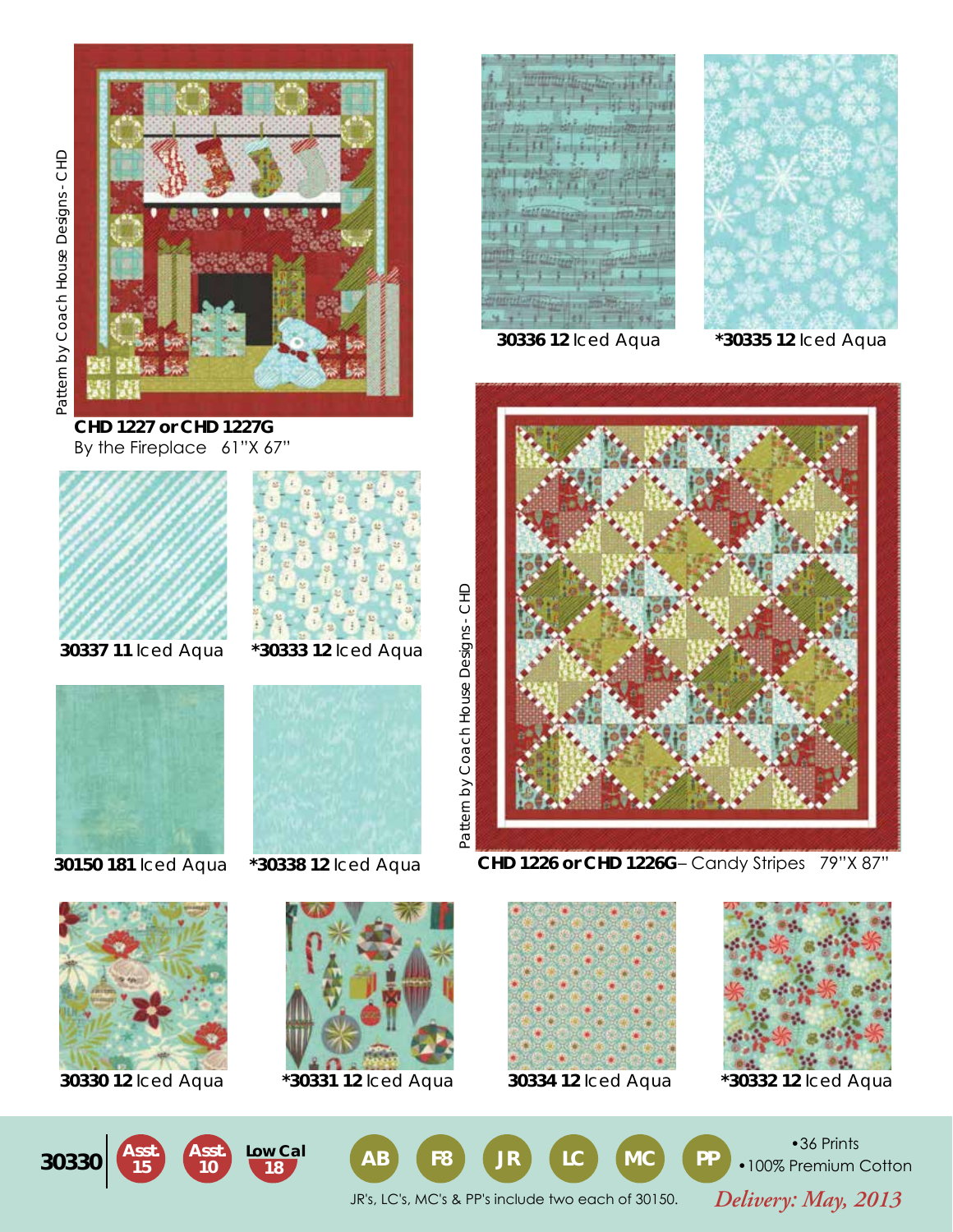

**CHD 1227 or CHD 1227G** By the Fireplace 61"X 67"





**30337 11** Iced Aqua













**30336 12** Iced Aqua **\*30335 12** Iced Aqua



**CHD 1226 or CHD 1226G**– Candy Stripes 79"X 87"











•36 Prints •100% Premium Cotton

*Delivery: May, 2013* JR's, LC's, MC's & PP's include two each of 30150.

Pattern by Coach House Designs - CHD

Pattern by Coach House Designs - CHD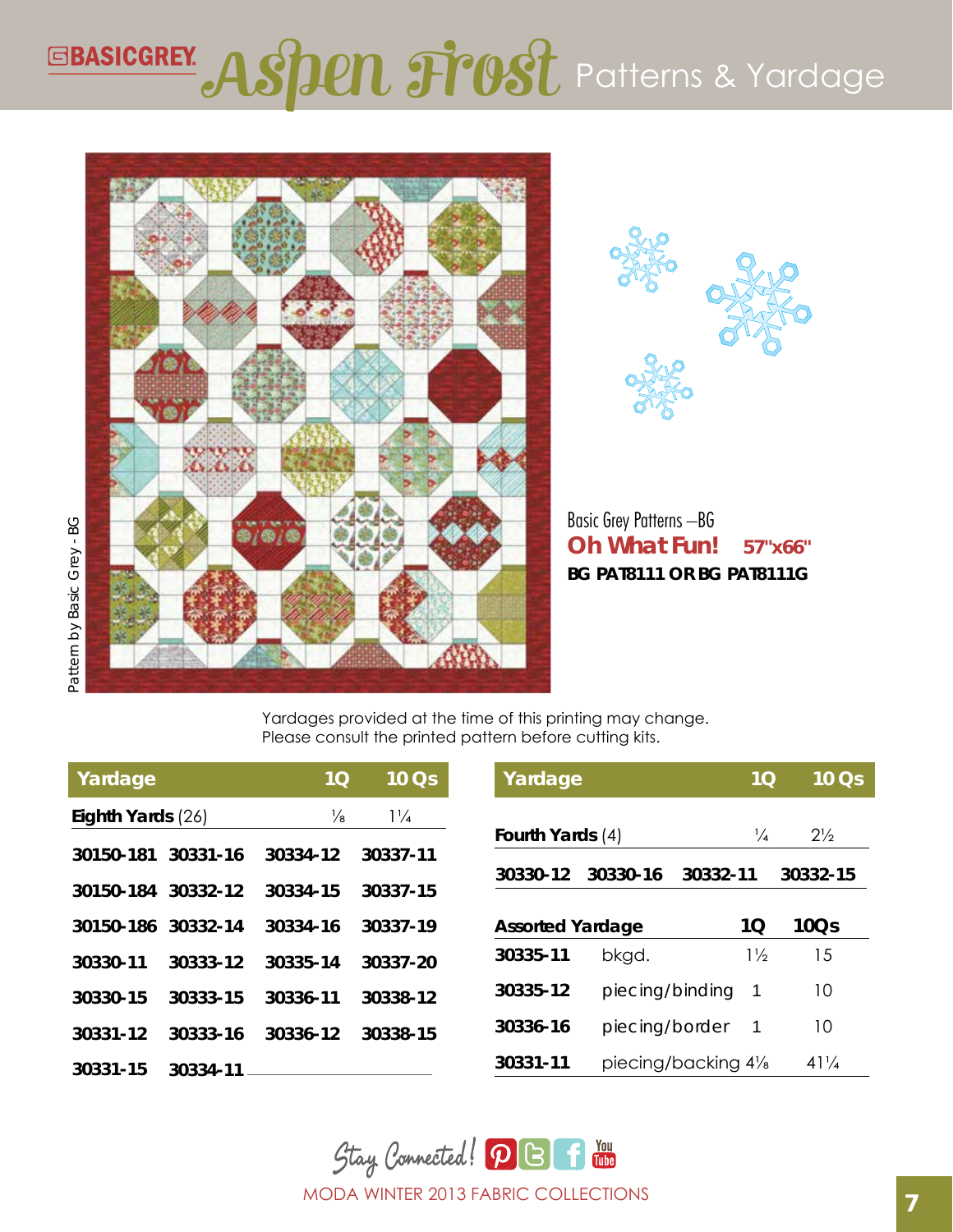## EBASICGREY ASPEN Frost Patterns & Yardage





**Oh What Fun! 57"x66"** Basic Grey Patterns –BG **BG PAT8111 or BG PAT8111G**

Yardages provided at the time of this printing may change. Please consult the printed pattern before cutting kits.

| Yardage           |          | 1 <sub>O</sub> | 10Qs           | Yardage                 |                 | 1 <sub>O</sub>                   | $10 \overline{\text{Os}}$ |
|-------------------|----------|----------------|----------------|-------------------------|-----------------|----------------------------------|---------------------------|
| Eighth Yards (26) |          | ⅓              | $1\frac{1}{4}$ |                         |                 |                                  |                           |
| 30150-181         | 30331-16 | 30334-12       | 30337-11       | Fourth Yards (4)        |                 | $\frac{1}{4}$                    | $2\frac{1}{2}$            |
|                   |          |                |                | 30330-12                | 30330-16        | 30332-11                         | 30332-15                  |
| 30150-184         | 30332-12 | 30334-15       | 30337-15       |                         |                 |                                  |                           |
| 30150-186         | 30332-14 | 30334-16       | 30337-19       | <b>Assorted Yardage</b> |                 | 1Q                               | 10Q <sub>S</sub>          |
| 30330-11          | 30333-12 | 30335-14       | 30337-20       | 30335-11                | bkgd.           | $1\frac{1}{2}$                   | 15                        |
| 30330-15          | 30333-15 | 30336-11       | 30338-12       | 30335-12                | piecing/binding | 1                                | 10                        |
| 30331-12          | 30333-16 | 30336-12       | 30338-15       | 30336-16                | piecing/border  | -1                               | 10                        |
| 30331-15          | 30334-11 |                |                | 30331-11                |                 | piecing/backing 41/ <sub>8</sub> | $41\frac{1}{4}$           |

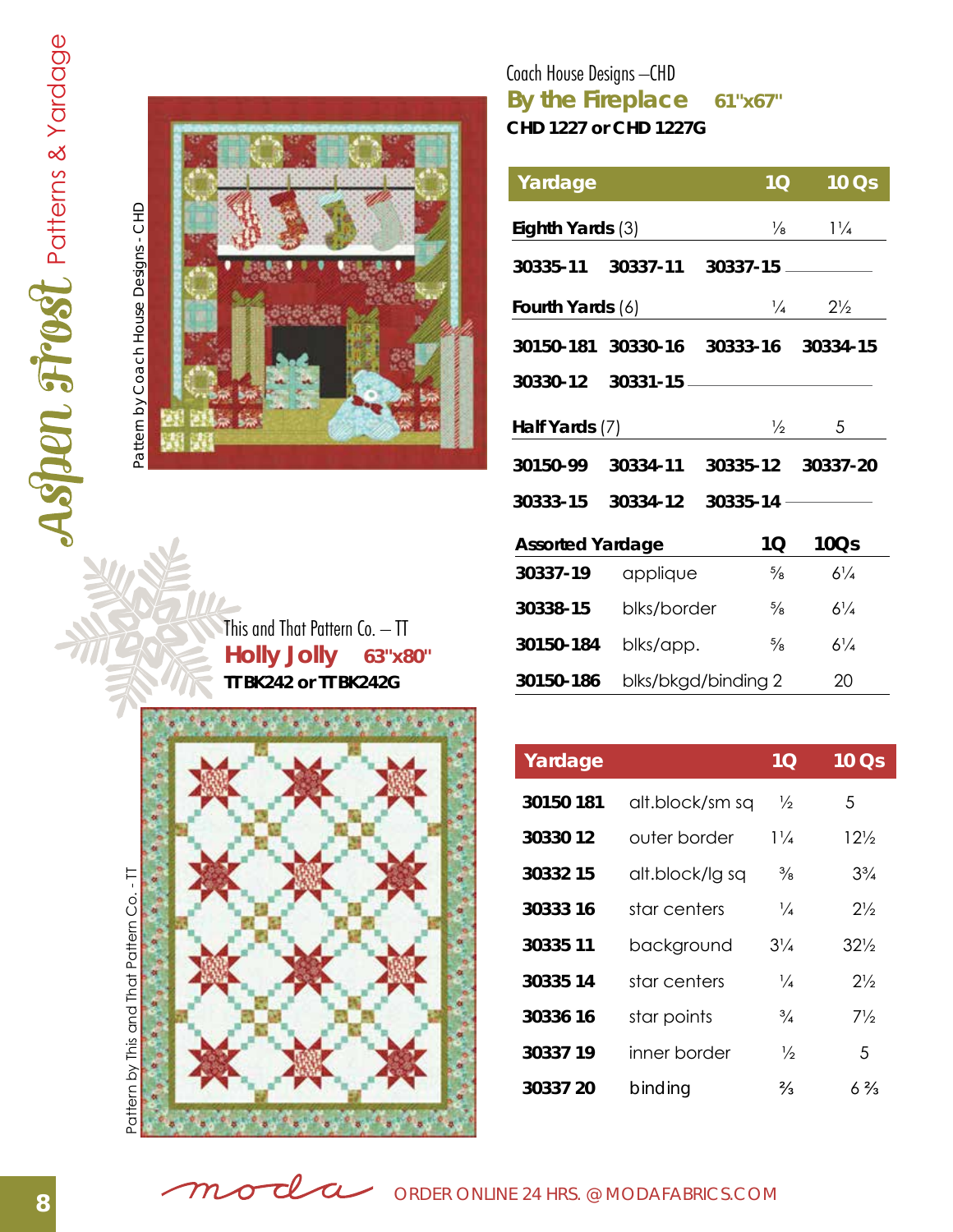

## **By the Fireplace 61"x67"** Coach House Designs –CHD **CHD 1227 or CHD 1227G**

| Yardage                 |                                      | 10 <sub>1</sub>   | 10 Qs                                       |
|-------------------------|--------------------------------------|-------------------|---------------------------------------------|
| Eighth Yards (3)        |                                      |                   | $\frac{1}{4}$                               |
|                         |                                      |                   |                                             |
|                         | Fourth Yards (6)                     |                   | $\frac{1}{4}$ 2 <sup>1</sup> / <sub>2</sub> |
|                         | 30150-181 30330-16 30333-16 30334-15 |                   |                                             |
|                         |                                      |                   |                                             |
|                         |                                      |                   |                                             |
| Half Yards (7)          |                                      | $\frac{1}{2}$     | 5                                           |
| 30150-99                | 30334-11                             | 30335-12 30337-20 |                                             |
| 30333-15                | 30334-12                             |                   |                                             |
| <b>Assorted Yardage</b> |                                      | 1Q                | <b>10Qs</b>                                 |
| 30337-19                | applique                             | $\frac{5}{8}$     | $6\frac{1}{4}$                              |
| 30338-15                | blks/border                          | $\frac{5}{8}$     | $6\frac{1}{4}$                              |

**30150-186** blks/bkgd/binding 2 20

**Holly Jolly 63"x80"** This and That Pattern Co. – TT **TT BK242 or TT BK242G**



| Yardage   |                 | 1 <sub>O</sub> | 10 Qs           |
|-----------|-----------------|----------------|-----------------|
| 30150 181 | alt.block/sm sq | $\frac{1}{2}$  | 5               |
| 30330 12  | outer border    | $1\frac{1}{4}$ | $12\frac{1}{2}$ |
| 30332 15  | alt.block/lg sq | $\frac{3}{8}$  | $3\frac{3}{4}$  |
| 30333 16  | star centers    | $\frac{1}{4}$  | $2\frac{1}{2}$  |
| 30335 11  | background      | $3\frac{1}{4}$ | $32\%$          |
| 30335 14  | star centers    | ¼              | $2\frac{1}{2}$  |
| 30336 16  | star points     | $\frac{3}{4}$  | 7½              |
| 30337 19  | inner border    | ⅓              | .5              |
| 30337 20  | binding         | $\frac{2}{3}$  | $6\frac{2}{3}$  |